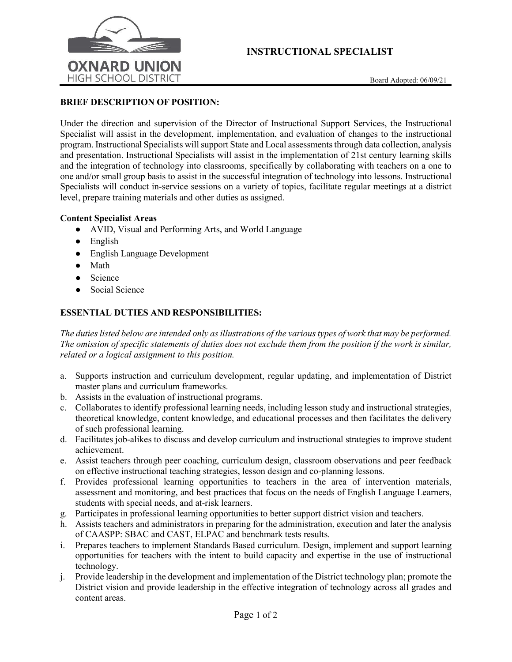

# **INSTRUCTIONAL SPECIALIST**

### **BRIEF DESCRIPTION OF POSITION:**

Under the direction and supervision of the Director of Instructional Support Services, the Instructional Specialist will assist in the development, implementation, and evaluation of changes to the instructional program. Instructional Specialists will support State and Local assessments through data collection, analysis and presentation. Instructional Specialists will assist in the implementation of 21st century learning skills and the integration of technology into classrooms, specifically by collaborating with teachers on a one to one and/or small group basis to assist in the successful integration of technology into lessons. Instructional Specialists will conduct in-service sessions on a variety of topics, facilitate regular meetings at a district level, prepare training materials and other duties as assigned.

#### **Content Specialist Areas**

- AVID, Visual and Performing Arts, and World Language
- English
- English Language Development
- Math
- Science
- Social Science

## **ESSENTIAL DUTIES AND RESPONSIBILITIES:**

*The duties listed below are intended only as illustrations of the various types of work that may be performed. The omission of specific statements of duties does not exclude them from the position if the work is similar, related or a logical assignment to this position.* 

- a. Supports instruction and curriculum development, regular updating, and implementation of District master plans and curriculum frameworks.
- b. Assists in the evaluation of instructional programs.
- c. Collaborates to identify professional learning needs, including lesson study and instructional strategies, theoretical knowledge, content knowledge, and educational processes and then facilitates the delivery of such professional learning.
- d. Facilitates job-alikes to discuss and develop curriculum and instructional strategies to improve student achievement.
- e. Assist teachers through peer coaching, curriculum design, classroom observations and peer feedback on effective instructional teaching strategies, lesson design and co-planning lessons.
- f. Provides professional learning opportunities to teachers in the area of intervention materials, assessment and monitoring, and best practices that focus on the needs of English Language Learners, students with special needs, and at-risk learners.
- g. Participates in professional learning opportunities to better support district vision and teachers.
- h. Assists teachers and administrators in preparing for the administration, execution and later the analysis of CAASPP: SBAC and CAST, ELPAC and benchmark tests results.
- i. Prepares teachers to implement Standards Based curriculum. Design, implement and support learning opportunities for teachers with the intent to build capacity and expertise in the use of instructional technology.
- j. Provide leadership in the development and implementation of the District technology plan; promote the District vision and provide leadership in the effective integration of technology across all grades and content areas.